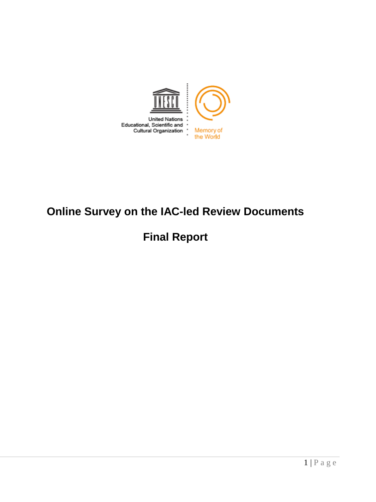

# **Online Survey on the IAC-led Review Documents**

# **Final Report**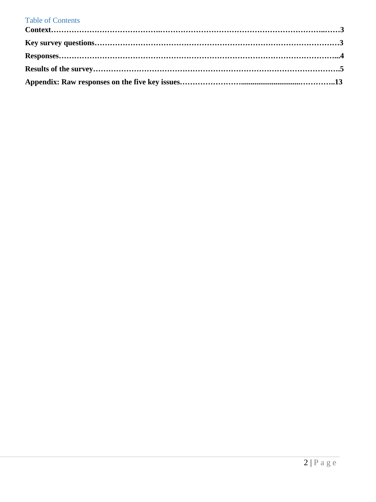### Table of Contents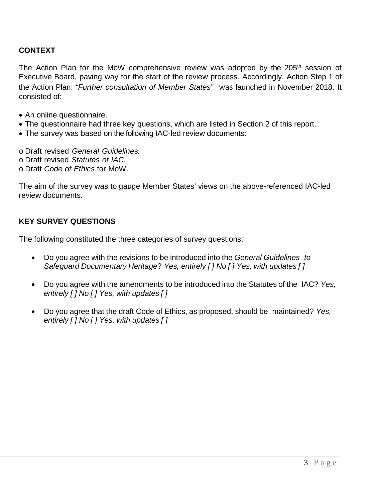### **CONTEXT**

The Action Plan for the MoW comprehensive review was adopted by the  $205<sup>th</sup>$  session of Executive Board, paving way for the start of the review process. Accordingly, Action Step 1 of the Action Plan: *"Further consultation of Member States"* was launched in November 2018. It consisted of:

- An online questionnaire.
- The questionnaire had three key questions, which are listed in Section 2 of this report.
- The survey was based on the following IAC-led review documents:

o Draft revised *General Guidelines.*

- o Draft revised *Statutes of IAC.*
- o Draft *Code of Ethics* for MoW.

The aim of the survey was to gauge Member States' views on the above-referenced IAC-led review documents.

### **KEY SURVEY QUESTIONS**

The following constituted the three categories of survey questions:

- Do you agree with the revisions to be introduced into the *General Guidelines to Safeguard Documentary Heritage*? *Yes, entirely [ ] No [ ] Yes, with updates [ ]*
- Do you agree with the amendments to be introduced into the Statutes of the IAC? *Yes, entirely [ ] No [ ] Yes, with updates [ ]*
- Do you agree that the draft Code of Ethics, as proposed, should be maintained? *Yes, entirely [ ] No [ ] Yes, with updates [ ]*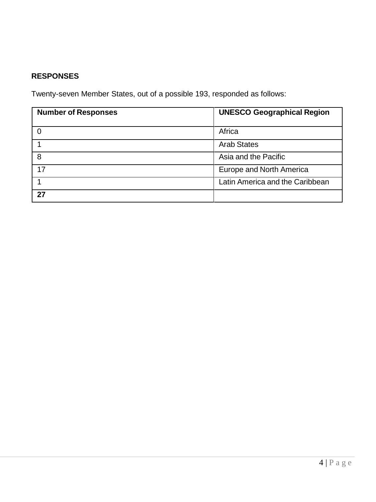# **RESPONSES**

Twenty-seven Member States, out of a possible 193, responded as follows:

| <b>Number of Responses</b> | <b>UNESCO Geographical Region</b> |  |
|----------------------------|-----------------------------------|--|
|                            | Africa                            |  |
|                            | <b>Arab States</b>                |  |
| 8                          | Asia and the Pacific              |  |
| 17                         | Europe and North America          |  |
|                            | Latin America and the Caribbean   |  |
| 27                         |                                   |  |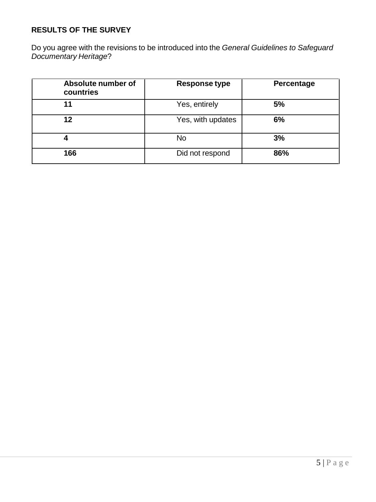## **RESULTS OF THE SURVEY**

Do you agree with the revisions to be introduced into the *General Guidelines to Safeguard Documentary Heritage*?

| Absolute number of<br>countries | Response type     | Percentage |
|---------------------------------|-------------------|------------|
| 11                              | Yes, entirely     | 5%         |
| 12                              | Yes, with updates | 6%         |
| 4                               | No                | 3%         |
| 166                             | Did not respond   | 86%        |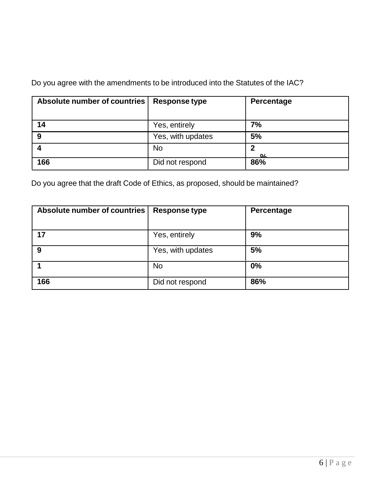Do you agree with the amendments to be introduced into the Statutes of the IAC?

| Absolute number of countries | Response type     | Percentage         |
|------------------------------|-------------------|--------------------|
| 14                           | Yes, entirely     | 7%                 |
| 9                            | Yes, with updates | 5%                 |
|                              | <b>No</b>         | າ<br>$\mathbf{O}/$ |
| 166                          | Did not respond   | 86%                |

Do you agree that the draft Code of Ethics, as proposed, should be maintained?

| Absolute number of countries | Response type     | Percentage |
|------------------------------|-------------------|------------|
| 17                           | Yes, entirely     | 9%         |
| 9                            | Yes, with updates | 5%         |
|                              | <b>No</b>         | 0%         |
| 166                          | Did not respond   | 86%        |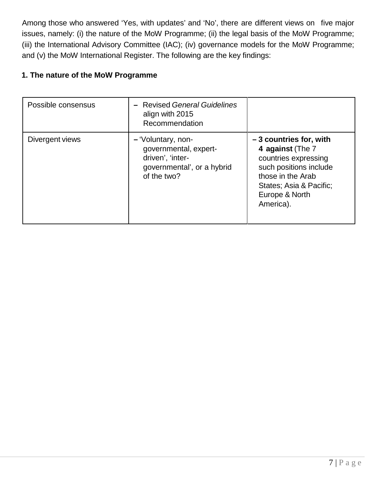Among those who answered 'Yes, with updates' and 'No', there are different views on five major issues, namely: (i) the nature of the MoW Programme; (ii) the legal basis of the MoW Programme; (iii) the International Advisory Committee (IAC); (iv) governance models for the MoW Programme; and (v) the MoW International Register. The following are the key findings:

### **1. The nature of the MoW Programme**

| Possible consensus | - Revised General Guidelines<br>align with 2015<br>Recommendation                                            |                                                                                                                                                                               |
|--------------------|--------------------------------------------------------------------------------------------------------------|-------------------------------------------------------------------------------------------------------------------------------------------------------------------------------|
| Divergent views    | - 'Voluntary, non-<br>governmental, expert-<br>driven', 'inter-<br>governmental', or a hybrid<br>of the two? | $-3$ countries for, with<br>4 against (The 7<br>countries expressing<br>such positions include<br>those in the Arab<br>States; Asia & Pacific;<br>Europe & North<br>America). |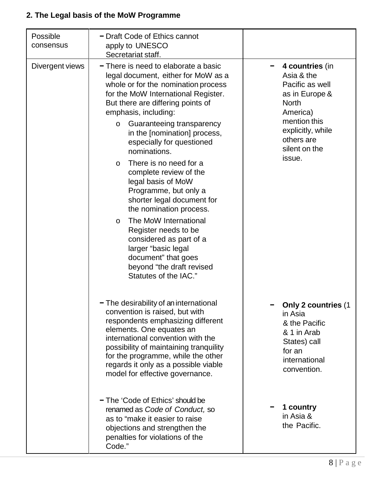# **2. The Legal basis of the MoW Programme**

| Possible<br>consensus | - Draft Code of Ethics cannot<br>apply to UNESCO<br>Secretariat staff.                                                                                                                                                                                                                                                                                                                                                                                                                                                                                                                                                                                                                                  |                                                                                                                                                                              |
|-----------------------|---------------------------------------------------------------------------------------------------------------------------------------------------------------------------------------------------------------------------------------------------------------------------------------------------------------------------------------------------------------------------------------------------------------------------------------------------------------------------------------------------------------------------------------------------------------------------------------------------------------------------------------------------------------------------------------------------------|------------------------------------------------------------------------------------------------------------------------------------------------------------------------------|
| Divergent views       | - There is need to elaborate a basic<br>legal document, either for MoW as a<br>whole or for the nomination process<br>for the MoW International Register.<br>But there are differing points of<br>emphasis, including:<br>Guaranteeing transparency<br>$\circ$<br>in the [nomination] process,<br>especially for questioned<br>nominations.<br>There is no need for a<br>O<br>complete review of the<br>legal basis of MoW<br>Programme, but only a<br>shorter legal document for<br>the nomination process.<br>The MoW International<br>$\circ$<br>Register needs to be<br>considered as part of a<br>larger "basic legal<br>document" that goes<br>beyond "the draft revised<br>Statutes of the IAC." | 4 countries (in<br>Asia & the<br>Pacific as well<br>as in Europe &<br><b>North</b><br>America)<br>mention this<br>explicitly, while<br>others are<br>silent on the<br>issue. |
|                       | - The desirability of an international<br>convention is raised, but with<br>respondents emphasizing different<br>elements. One equates an<br>international convention with the<br>possibility of maintaining tranquility<br>for the programme, while the other<br>regards it only as a possible viable<br>model for effective governance.<br>- The 'Code of Ethics' should be<br>renamed as Code of Conduct, so<br>as to "make it easier to raise<br>objections and strengthen the<br>penalties for violations of the<br>Code."                                                                                                                                                                         | Only 2 countries (1<br>in Asia<br>& the Pacific<br>& 1 in Arab<br>States) call<br>for an<br>international<br>convention.<br>1 country<br>in Asia &<br>the Pacific.           |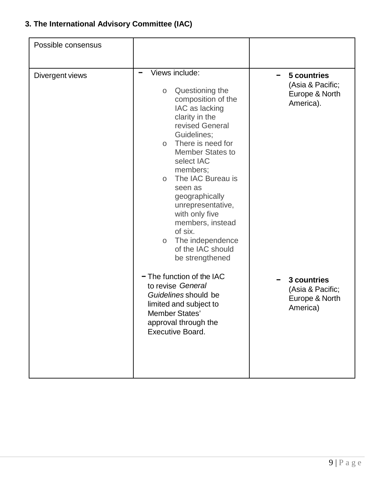# **3. The International Advisory Committee (IAC)**

| Possible consensus |                                                                                                                                                                                                                                                                                                                                                                                                                                         |                                                                     |
|--------------------|-----------------------------------------------------------------------------------------------------------------------------------------------------------------------------------------------------------------------------------------------------------------------------------------------------------------------------------------------------------------------------------------------------------------------------------------|---------------------------------------------------------------------|
| Divergent views    | Views include:<br>Questioning the<br>$\circ$<br>composition of the<br>IAC as lacking<br>clarity in the<br>revised General<br>Guidelines;<br>There is need for<br>$\circ$<br><b>Member States to</b><br>select IAC<br>members;<br>The IAC Bureau is<br>$\circ$<br>seen as<br>geographically<br>unrepresentative,<br>with only five<br>members, instead<br>of six.<br>The independence<br>$\circ$<br>of the IAC should<br>be strengthened | 5 countries<br>-<br>(Asia & Pacific;<br>Europe & North<br>America). |
|                    | - The function of the IAC<br>to revise General<br>Guidelines should be<br>limited and subject to<br>Member States'<br>approval through the<br>Executive Board.                                                                                                                                                                                                                                                                          | 3 countries<br>(Asia & Pacific;<br>Europe & North<br>America)       |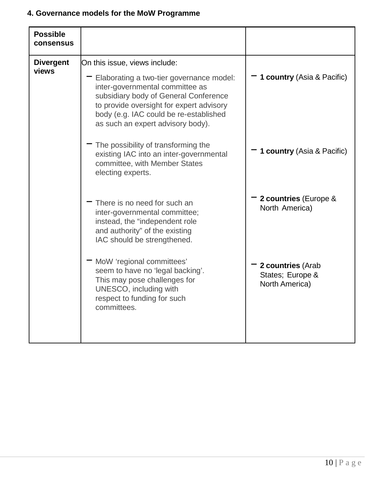## **4. Governance models for the MoW Programme**

| <b>Possible</b><br>consensus |                                                                                                                                                                                                                                                                                  |                                                         |
|------------------------------|----------------------------------------------------------------------------------------------------------------------------------------------------------------------------------------------------------------------------------------------------------------------------------|---------------------------------------------------------|
| <b>Divergent</b><br>views    | On this issue, views include:<br>Elaborating a two-tier governance model:<br>inter-governmental committee as<br>subsidiary body of General Conference<br>to provide oversight for expert advisory<br>body (e.g. IAC could be re-established<br>as such an expert advisory body). | 1 country (Asia & Pacific)                              |
|                              | The possibility of transforming the<br>existing IAC into an inter-governmental<br>committee, with Member States<br>electing experts.                                                                                                                                             | 1 country (Asia & Pacific)                              |
|                              | There is no need for such an<br>inter-governmental committee;<br>instead, the "independent role<br>and authority" of the existing<br>IAC should be strengthened.                                                                                                                 | 2 countries (Europe &<br>North America)                 |
|                              | MoW 'regional committees'<br>seem to have no 'legal backing'.<br>This may pose challenges for<br>UNESCO, including with<br>respect to funding for such<br>committees.                                                                                                            | 2 countries (Arab<br>States; Europe &<br>North America) |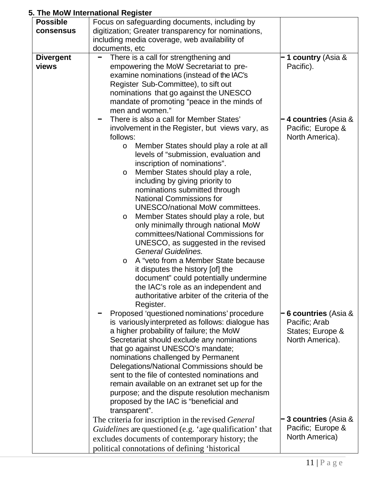## **5. The MoW International Register**

| <b>Possible</b>  | Focus on safeguarding documents, including by            |                            |
|------------------|----------------------------------------------------------|----------------------------|
| consensus        | digitization; Greater transparency for nominations,      |                            |
|                  | including media coverage, web availability of            |                            |
|                  | documents, etc                                           |                            |
| <b>Divergent</b> | There is a call for strengthening and                    | 1 country (Asia &          |
| views            | empowering the MoW Secretariat to pre-                   | Pacific).                  |
|                  | examine nominations (instead of the IAC's                |                            |
|                  | Register Sub-Committee), to sift out                     |                            |
|                  | nominations that go against the UNESCO                   |                            |
|                  | mandate of promoting "peace in the minds of              |                            |
|                  | men and women."                                          |                            |
|                  | There is also a call for Member States'                  | 4 countries (Asia &        |
|                  | involvement in the Register, but views vary, as          | Pacific; Europe &          |
|                  | follows:                                                 | North America).            |
|                  | Member States should play a role at all<br>$\circ$       |                            |
|                  | levels of "submission, evaluation and                    |                            |
|                  | inscription of nominations".                             |                            |
|                  | Member States should play a role,<br>O                   |                            |
|                  | including by giving priority to                          |                            |
|                  | nominations submitted through                            |                            |
|                  | <b>National Commissions for</b>                          |                            |
|                  | <b>UNESCO/national MoW committees.</b>                   |                            |
|                  | Member States should play a role, but<br>O               |                            |
|                  | only minimally through national MoW                      |                            |
|                  | committees/National Commissions for                      |                            |
|                  | UNESCO, as suggested in the revised                      |                            |
|                  | <b>General Guidelines.</b>                               |                            |
|                  | A "veto from a Member State because<br>O                 |                            |
|                  | it disputes the history [of] the                         |                            |
|                  | document" could potentially undermine                    |                            |
|                  | the IAC's role as an independent and                     |                            |
|                  | authoritative arbiter of the criteria of the             |                            |
|                  | Register.                                                |                            |
|                  | Proposed 'questioned nominations' procedure              | <b>6 countries</b> (Asia & |
|                  | is variously interpreted as follows: dialogue has        | Pacific; Arab              |
|                  | a higher probability of failure; the MoW                 | States; Europe &           |
|                  | Secretariat should exclude any nominations               | North America).            |
|                  | that go against UNESCO's mandate;                        |                            |
|                  | nominations challenged by Permanent                      |                            |
|                  | Delegations/National Commissions should be               |                            |
|                  | sent to the file of contested nominations and            |                            |
|                  | remain available on an extranet set up for the           |                            |
|                  | purpose; and the dispute resolution mechanism            |                            |
|                  | proposed by the IAC is "beneficial and                   |                            |
|                  | transparent".                                            |                            |
|                  | The criteria for inscription in the revised General      | 3 countries (Asia &        |
|                  | Guidelines are questioned (e.g. 'age qualification' that | Pacific; Europe &          |
|                  | excludes documents of contemporary history; the          | North America)             |
|                  | political connotations of defining 'historical           |                            |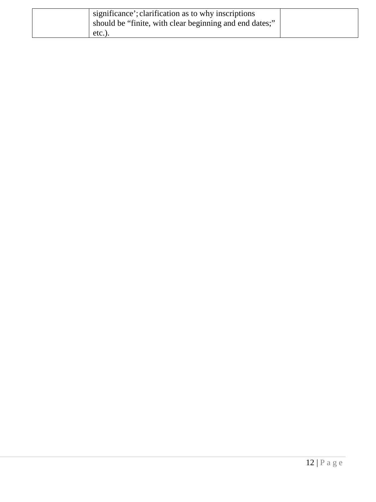| significance'; clarification as to why inscriptions<br>should be "finite, with clear beginning and end dates;" |  |
|----------------------------------------------------------------------------------------------------------------|--|
| $etc.$ ).                                                                                                      |  |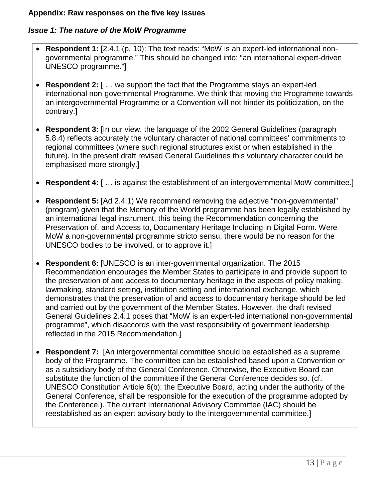### **Appendix: Raw responses on the five key issues**

### *Issue 1: The nature of the MoW Programme*

- **Respondent 1:** [2.4.1 (p. 10): The text reads: "MoW is an expert-led international nongovernmental programme." This should be changed into: "an international expert-driven UNESCO programme."]
- **Respondent 2:** [ … we support the fact that the Programme stays an expert-led international non-governmental Programme. We think that moving the Programme towards an intergovernmental Programme or a Convention will not hinder its politicization, on the contrary.]
- **Respondent 3:** [In our view, the language of the 2002 General Guidelines (paragraph 5.8.4) reflects accurately the voluntary character of national committees' commitments to regional committees (where such regional structures exist or when established in the future). In the present draft revised General Guidelines this voluntary character could be emphasised more strongly.]
- **Respondent 4:** [ … is against the establishment of an intergovernmental MoW committee.]
- **Respondent 5:** [Ad 2.4.1) We recommend removing the adjective "non-governmental" (program) given that the Memory of the World programme has been legally established by an international legal instrument, this being the Recommendation concerning the Preservation of, and Access to, Documentary Heritage Including in Digital Form. Were MoW a non-governmental programme stricto sensu, there would be no reason for the UNESCO bodies to be involved, or to approve it.]
- **Respondent 6:** [UNESCO is an inter-governmental organization. The 2015 Recommendation encourages the Member States to participate in and provide support to the preservation of and access to documentary heritage in the aspects of policy making, lawmaking, standard setting, institution setting and international exchange, which demonstrates that the preservation of and access to documentary heritage should be led and carried out by the government of the Member States. However, the draft revised General Guidelines 2.4.1 poses that "MoW is an expert-led international non-governmental programme", which disaccords with the vast responsibility of government leadership reflected in the 2015 Recommendation.]
- **Respondent 7:** [An intergovernmental committee should be established as a supreme body of the Programme. The committee can be established based upon a Convention or as a subsidiary body of the General Conference. Otherwise, the Executive Board can substitute the function of the committee if the General Conference decides so. (cf. UNESCO Constitution Article 6(b): the Executive Board, acting under the authority of the General Conference, shall be responsible for the execution of the programme adopted by the Conference.). The current International Advisory Committee (IAC) should be reestablished as an expert advisory body to the intergovernmental committee.]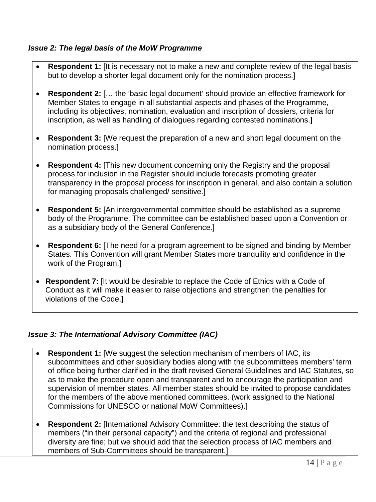### *Issue 2: The legal basis of the MoW Programme*

- **Respondent 1:** [It is necessary not to make a new and complete review of the legal basis but to develop a shorter legal document only for the nomination process.]
- **Respondent 2:** [… the 'basic legal document' should provide an effective framework for Member States to engage in all substantial aspects and phases of the Programme, including its objectives, nomination, evaluation and inscription of dossiers, criteria for inscription, as well as handling of dialogues regarding contested nominations.]
- **Respondent 3:** [We request the preparation of a new and short legal document on the nomination process.]
- **Respondent 4:** [This new document concerning only the Registry and the proposal process for inclusion in the Register should include forecasts promoting greater transparency in the proposal process for inscription in general, and also contain a solution for managing proposals challenged/ sensitive.]
- **Respondent 5:** [An intergovernmental committee should be established as a supreme body of the Programme. The committee can be established based upon a Convention or as a subsidiary body of the General Conference.]
- **Respondent 6:** [The need for a program agreement to be signed and binding by Member States. This Convention will grant Member States more tranquility and confidence in the work of the Program.]
- **Respondent 7:** [It would be desirable to replace the Code of Ethics with a Code of Conduct as it will make it easier to raise objections and strengthen the penalties for violations of the Code.]

### *Issue 3: The International Advisory Committee (IAC)*

- **Respondent 1:** [We suggest the selection mechanism of members of IAC, its subcommittees and other subsidiary bodies along with the subcommittees members' term of office being further clarified in the draft revised General Guidelines and IAC Statutes, so as to make the procedure open and transparent and to encourage the participation and supervision of member states. All member states should be invited to propose candidates for the members of the above mentioned committees. (work assigned to the National Commissions for UNESCO or national MoW Committees).]
- **Respondent 2:** [International Advisory Committee: the text describing the status of members ("in their personal capacity") and the criteria of regional and professional diversity are fine; but we should add that the selection process of IAC members and members of Sub-Committees should be transparent.]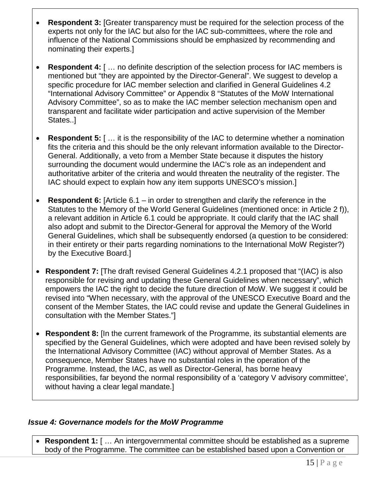- **Respondent 3:** [Greater transparency must be required for the selection process of the experts not only for the IAC but also for the IAC sub-committees, where the role and influence of the National Commissions should be emphasized by recommending and nominating their experts.]
- **Respondent 4:** [ … no definite description of the selection process for IAC members is mentioned but "they are appointed by the Director-General". We suggest to develop a specific procedure for IAC member selection and clarified in General Guidelines 4.2 "International Advisory Committee" or Appendix 8 "Statutes of the MoW International Advisory Committee", so as to make the IAC member selection mechanism open and transparent and facilitate wider participation and active supervision of the Member States..]
- **Respondent 5:** [ … it is the responsibility of the IAC to determine whether a nomination fits the criteria and this should be the only relevant information available to the Director-General. Additionally, a veto from a Member State because it disputes the history surrounding the document would undermine the IAC's role as an independent and authoritative arbiter of the criteria and would threaten the neutrality of the register. The IAC should expect to explain how any item supports UNESCO's mission.]
- **Respondent 6:** [Article 6.1 in order to strengthen and clarify the reference in the Statutes to the Memory of the World General Guidelines (mentioned once: in Article 2 f)), a relevant addition in Article 6.1 could be appropriate. It could clarify that the IAC shall also adopt and submit to the Director-General for approval the Memory of the World General Guidelines, which shall be subsequently endorsed (a question to be considered: in their entirety or their parts regarding nominations to the International MoW Register?) by the Executive Board.]
- **Respondent 7:** [The draft revised General Guidelines 4.2.1 proposed that "(IAC) is also responsible for revising and updating these General Guidelines when necessary", which empowers the IAC the right to decide the future direction of MoW. We suggest it could be revised into "When necessary, with the approval of the UNESCO Executive Board and the consent of the Member States, the IAC could revise and update the General Guidelines in consultation with the Member States."]
- **Respondent 8:** [In the current framework of the Programme, its substantial elements are specified by the General Guidelines, which were adopted and have been revised solely by the International Advisory Committee (IAC) without approval of Member States. As a consequence, Member States have no substantial roles in the operation of the Programme. Instead, the IAC, as well as Director-General, has borne heavy responsibilities, far beyond the normal responsibility of a 'category V advisory committee', without having a clear legal mandate.]

### *Issue 4: Governance models for the MoW Programme*

• **Respondent 1:** [ … An intergovernmental committee should be established as a supreme body of the Programme. The committee can be established based upon a Convention or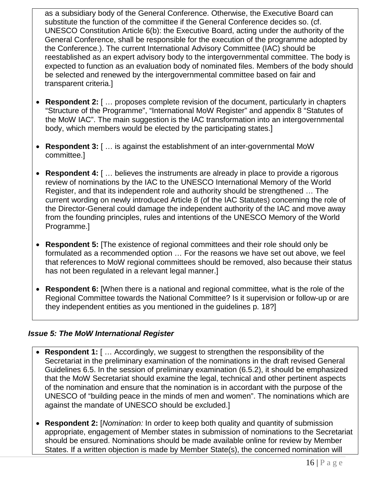as a subsidiary body of the General Conference. Otherwise, the Executive Board can substitute the function of the committee if the General Conference decides so. (cf. UNESCO Constitution Article 6(b): the Executive Board, acting under the authority of the General Conference, shall be responsible for the execution of the programme adopted by the Conference.). The current International Advisory Committee (IAC) should be reestablished as an expert advisory body to the intergovernmental committee. The body is expected to function as an evaluation body of nominated files. Members of the body should be selected and renewed by the intergovernmental committee based on fair and transparent criteria.]

- **Respondent 2:** [ … proposes complete revision of the document, particularly in chapters "Structure of the Programme", "International MoW Register" and appendix 8 "Statutes of the MoW IAC". The main suggestion is the IAC transformation into an intergovernmental body, which members would be elected by the participating states.]
- **Respondent 3:** [ … is against the establishment of an inter-governmental MoW committee.]
- **Respondent 4:** [ ... believes the instruments are already in place to provide a rigorous review of nominations by the IAC to the UNESCO International Memory of the World Register, and that its independent role and authority should be strengthened … The current wording on newly introduced Article 8 (of the IAC Statutes) concerning the role of the Director-General could damage the independent authority of the IAC and move away from the founding principles, rules and intentions of the UNESCO Memory of the World Programme.]
- **Respondent 5:** [The existence of regional committees and their role should only be formulated as a recommended option … For the reasons we have set out above, we feel that references to MoW regional committees should be removed, also because their status has not been regulated in a relevant legal manner.]
- **Respondent 6:** [When there is a national and regional committee, what is the role of the Regional Committee towards the National Committee? Is it supervision or follow-up or are they independent entities as you mentioned in the guidelines p. 18?]

### *Issue 5: The MoW International Register*

- **Respondent 1:** [ … Accordingly, we suggest to strengthen the responsibility of the Secretariat in the preliminary examination of the nominations in the draft revised General Guidelines 6.5. In the session of preliminary examination (6.5.2), it should be emphasized that the MoW Secretariat should examine the legal, technical and other pertinent aspects of the nomination and ensure that the nomination is in accordant with the purpose of the UNESCO of "building peace in the minds of men and women". The nominations which are against the mandate of UNESCO should be excluded.]
- **Respondent 2:** [*Nomination:* In order to keep both quality and quantity of submission appropriate, engagement of Member states in submission of nominations to the Secretariat should be ensured. Nominations should be made available online for review by Member States. If a written objection is made by Member State(s), the concerned nomination will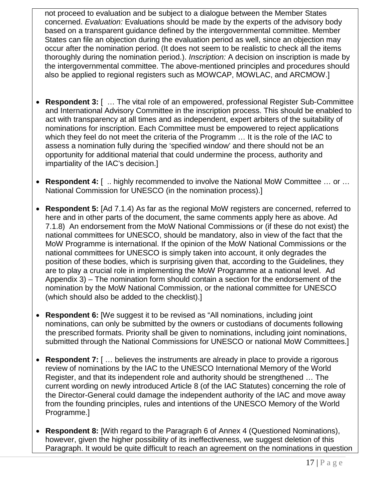not proceed to evaluation and be subject to a dialogue between the Member States concerned. *Evaluation:* Evaluations should be made by the experts of the advisory body based on a transparent guidance defined by the intergovernmental committee. Member States can file an objection during the evaluation period as well, since an objection may occur after the nomination period. (It does not seem to be realistic to check all the items thoroughly during the nomination period.). *Inscription:* A decision on inscription is made by the intergovernmental committee. The above-mentioned principles and procedures should also be applied to regional registers such as MOWCAP, MOWLAC, and ARCMOW.]

- **Respondent 3:** [ … The vital role of an empowered, professional Register Sub-Committee and International Advisory Committee in the inscription process. This should be enabled to act with transparency at all times and as independent, expert arbiters of the suitability of nominations for inscription. Each Committee must be empowered to reject applications which they feel do not meet the criteria of the Programm … It is the role of the IAC to assess a nomination fully during the 'specified window' and there should not be an opportunity for additional material that could undermine the process, authority and impartiality of the IAC's decision.]
- **Respondent 4:** [ .. highly recommended to involve the National MoW Committee … or … National Commission for UNESCO (in the nomination process).]
- **Respondent 5:** [Ad 7.1.4) As far as the regional MoW registers are concerned, referred to here and in other parts of the document, the same comments apply here as above. Ad 7.1.8) An endorsement from the MoW National Commissions or (if these do not exist) the national committees for UNESCO, should be mandatory, also in view of the fact that the MoW Programme is international. If the opinion of the MoW National Commissions or the national committees for UNESCO is simply taken into account, it only degrades the position of these bodies, which is surprising given that, according to the Guidelines, they are to play a crucial role in implementing the MoW Programme at a national level. Ad Appendix 3) – The nomination form should contain a section for the endorsement of the nomination by the MoW National Commission, or the national committee for UNESCO (which should also be added to the checklist).]
- **Respondent 6:** [We suggest it to be revised as "All nominations, including joint nominations, can only be submitted by the owners or custodians of documents following the prescribed formats. Priority shall be given to nominations, including joint nominations, submitted through the National Commissions for UNESCO or national MoW Committees.]
- **Respondent 7:** [ ... believes the instruments are already in place to provide a rigorous review of nominations by the IAC to the UNESCO International Memory of the World Register, and that its independent role and authority should be strengthened … The current wording on newly introduced Article 8 (of the IAC Statutes) concerning the role of the Director-General could damage the independent authority of the IAC and move away from the founding principles, rules and intentions of the UNESCO Memory of the World Programme.]
- **Respondent 8:** [With regard to the Paragraph 6 of Annex 4 (Questioned Nominations), however, given the higher possibility of its ineffectiveness, we suggest deletion of this Paragraph. It would be quite difficult to reach an agreement on the nominations in question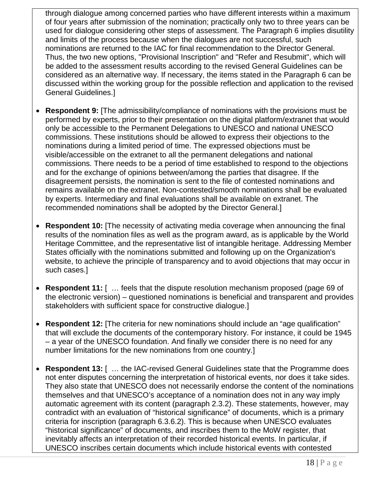through dialogue among concerned parties who have different interests within a maximum of four years after submission of the nomination; practically only two to three years can be used for dialogue considering other steps of assessment. The Paragraph 6 implies disutility and limits of the process because when the dialogues are not successful, such nominations are returned to the IAC for final recommendation to the Director General. Thus, the two new options, "Provisional Inscription" and "Refer and Resubmit", which will be added to the assessment results according to the revised General Guidelines can be considered as an alternative way. If necessary, the items stated in the Paragraph 6 can be discussed within the working group for the possible reflection and application to the revised General Guidelines.]

- **Respondent 9:** [The admissibility/compliance of nominations with the provisions must be performed by experts, prior to their presentation on the digital platform/extranet that would only be accessible to the Permanent Delegations to UNESCO and national UNESCO commissions. These institutions should be allowed to express their objections to the nominations during a limited period of time. The expressed objections must be visible/accessible on the extranet to all the permanent delegations and national commissions. There needs to be a period of time established to respond to the objections and for the exchange of opinions between/among the parties that disagree. If the disagreement persists, the nomination is sent to the file of contested nominations and remains available on the extranet. Non-contested/smooth nominations shall be evaluated by experts. Intermediary and final evaluations shall be available on extranet. The recommended nominations shall be adopted by the Director General.]
- **Respondent 10:** [The necessity of activating media coverage when announcing the final results of the nomination files as well as the program award, as is applicable by the World Heritage Committee, and the representative list of intangible heritage. Addressing Member States officially with the nominations submitted and following up on the Organization's website, to achieve the principle of transparency and to avoid objections that may occur in such cases.]
- **Respondent 11:** [ ... feels that the dispute resolution mechanism proposed (page 69 of the electronic version) – questioned nominations is beneficial and transparent and provides stakeholders with sufficient space for constructive dialogue.]
- **Respondent 12:** [The criteria for new nominations should include an "age qualification" that will exclude the documents of the contemporary history. For instance, it could be 1945 – a year of the UNESCO foundation. And finally we consider there is no need for any number limitations for the new nominations from one country.]
- **Respondent 13:** [ … the IAC-revised General Guidelines state that the Programme does not enter disputes concerning the interpretation of historical events, nor does it take sides. They also state that UNESCO does not necessarily endorse the content of the nominations themselves and that UNESCO's acceptance of a nomination does not in any way imply automatic agreement with its content (paragraph 2.3.2). These statements, however, may contradict with an evaluation of "historical significance" of documents, which is a primary criteria for inscription (paragraph 6.3.6.2). This is because when UNESCO evaluates "historical significance" of documents, and inscribes them to the MoW register, that inevitably affects an interpretation of their recorded historical events. In particular, if UNESCO inscribes certain documents which include historical events with contested